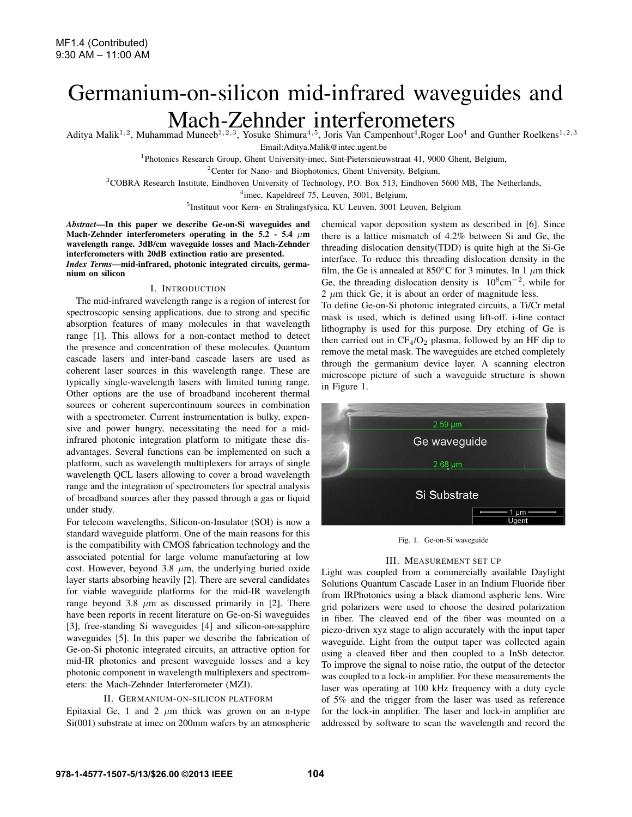nium on silicon

# Germanium-on-silicon mid-infrared waveguides and Mach-Zehnder interferometers

Aditya Malik<sup>1,2</sup>, Muhammad Muneeb<sup>1,2,3</sup>, Yosuke Shimura<sup>4,5</sup>, Joris Van Campenhout<sup>4</sup>,Roger Loo<sup>4</sup> and Gunther Roelkens<sup>1,2,3</sup> Email:Aditya.Malik@intec.ugent.be

<sup>1</sup>Photonics Research Group, Ghent University-imec, Sint-Pietersnieuwstraat 41, 9000 Ghent, Belgium,

<sup>2</sup>Center for Nano- and Biophotonics, Ghent University, Belgium,

<sup>3</sup>COBRA Research Institute, Eindhoven University of Technology, P.O. Box 513, Eindhoven 5600 MB, The Netherlands,

<sup>4</sup>imec, Kapeldreef 75, Leuven, 3001, Belgium,

<sup>5</sup>Instituut voor Kern- en Stralingsfysica, KU Leuven, 3001 Leuven, Belgium

*Abstract*—In this paper we describe Ge-on-Si waveguides and Mach-Zehnder interferometers operating in the 5.2 - 5.4  $\mu$ m wavelength range. 3dB/cm waveguide losses and Mach-Zehnder interferometers with 20dB extinction ratio are presented. *Index Terms*—mid-infrared, photonic integrated circuits, germa-

I. INTRODUCTION

The mid-infrared wavelength range is a region of interest for spectroscopic sensing applications, due to strong and specific absorption features of many molecules in that wavelength range [1]. This allows for a non-contact method to detect the presence and concentration of these molecules. Quantum cascade lasers and inter-band cascade lasers are used as coherent laser sources in this wavelength range. These are typically single-wavelength lasers with limited tuning range. Other options are the use of broadband incoherent thermal sources or coherent supercontinuum sources in combination with a spectrometer. Current instrumentation is bulky, expensive and power hungry, necessitating the need for a midinfrared photonic integration platform to mitigate these disadvantages. Several functions can be implemented on such a platform, such as wavelength multiplexers for arrays of single wavelength QCL lasers allowing to cover a broad wavelength range and the integration of spectrometers for spectral analysis of broadband sources after they passed through a gas or liquid under study.

For telecom wavelengths, Silicon-on-Insulator (SOI) is now a standard waveguide platform. One of the main reasons for this is the compatibility with CMOS fabrication technology and the associated potential for large volume manufacturing at low cost. However, beyond 3.8  $\mu$ m, the underlying buried oxide layer starts absorbing heavily [2]. There are several candidates for viable waveguide platforms for the mid-IR wavelength range beyond 3.8  $\mu$ m as discussed primarily in [2]. There have been reports in recent literature on Ge-on-Si waveguides [3], free-standing Si waveguides [4] and silicon-on-sapphire waveguides [5]. In this paper we describe the fabrication of Ge-on-Si photonic integrated circuits, an attractive option for mid-IR photonics and present waveguide losses and a key photonic component in wavelength multiplexers and spectrometers: the Mach-Zehnder Interferometer (MZI).

# II. GERMANIUM-ON-SILICON PLATFORM

Epitaxial Ge, 1 and 2  $\mu$ m thick was grown on an n-type Si(001) substrate at imec on 200mm wafers by an atmospheric

chemical vapor deposition system as described in [6]. Since there is a lattice mismatch of 4.2% between Si and Ge, the threading dislocation density(TDD) is quite high at the Si-Ge interface. To reduce this threading dislocation density in the film, the Ge is annealed at 850°C for 3 minutes. In 1  $\mu$ m thick Ge, the threading dislocation density is  $10^8$ cm<sup>-2</sup>, while for  $2 \mu m$  thick Ge, it is about an order of magnitude less.

To define Ge-on-Si photonic integrated circuits, a Ti/Cr metal mask is used, which is defined using lift-off. i-line contact lithography is used for this purpose. Dry etching of Ge is then carried out in  $CF_4/O_2$  plasma, followed by an HF dip to remove the metal mask. The waveguides are etched completely through the germanium device layer. A scanning electron microscope picture of such a waveguide structure is shown in Figure 1.



Fig. 1. Ge-on-Si waveguide

### III. MEASUREMENT SET UP

Light was coupled from a commercially available Daylight Solutions Quantum Cascade Laser in an Indium Fluoride fiber from IRPhotonics using a black diamond aspheric lens. Wire grid polarizers were used to choose the desired polarization in fiber. The cleaved end of the fiber was mounted on a piezo-driven xyz stage to align accurately with the input taper waveguide. Light from the output taper was collected again using a cleaved fiber and then coupled to a InSb detector. To improve the signal to noise ratio, the output of the detector was coupled to a lock-in amplifier. For these measurements the laser was operating at 100 kHz frequency with a duty cycle of 5% and the trigger from the laser was used as reference for the lock-in amplifier. The laser and lock-in amplifier are addressed by software to scan the wavelength and record the